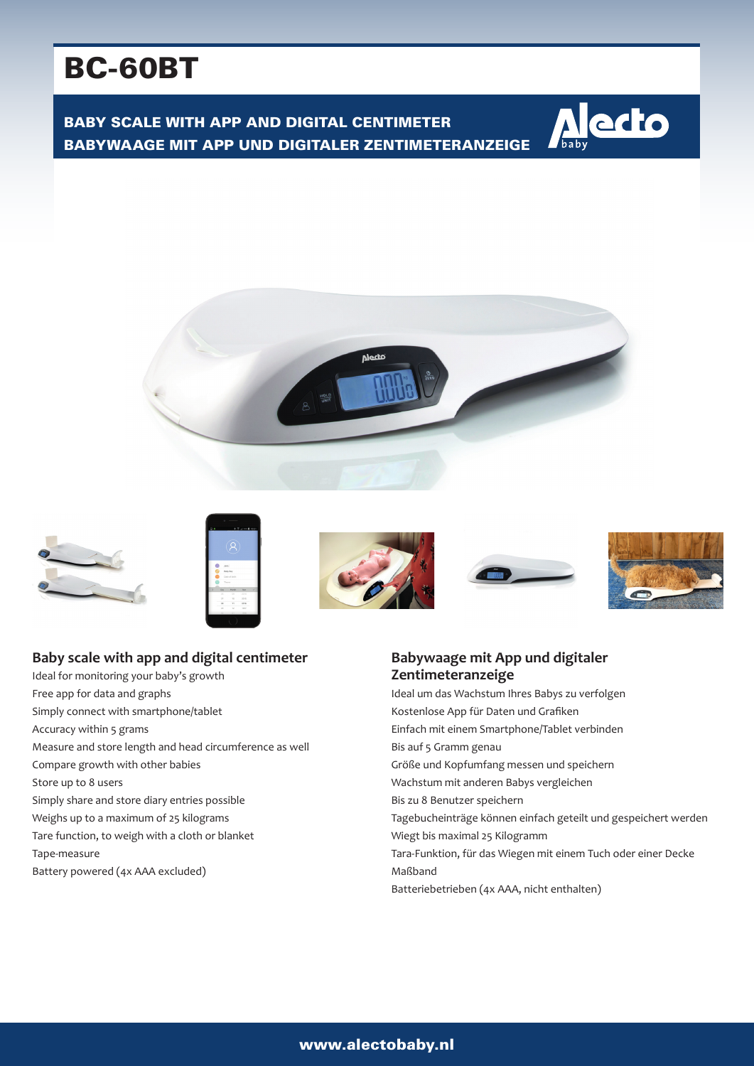# BC-60BT

BABY SCALE WITH APP AND DIGITAL CENTIMETER BABYWAAGE MIT APP UND DIGITALER ZENTIMETERANZEIGE















### **Babywaage mit App und digitaler Zentimeteranzeige**

Ideal um das Wachstum Ihres Babys zu verfolgen Kostenlose App für Daten und Grafiken Einfach mit einem Smartphone/Tablet verbinden Bis auf 5 Gramm genau Größe und Kopfumfang messen und speichern Wachstum mit anderen Babys vergleichen Bis zu 8 Benutzer speichern Tagebucheinträge können einfach geteilt und gespeichert werden Wiegt bis maximal 25 Kilogramm Tara-Funktion, für das Wiegen mit einem Tuch oder einer Decke Maßband Batteriebetrieben (4x AAA, nicht enthalten)

## **Baby scale with app and digital centimeter**

Ideal for monitoring your baby's growth Free app for data and graphs Simply connect with smartphone/tablet Accuracy within 5 grams Measure and store length and head circumference as well Compare growth with other babies Store up to 8 users Simply share and store diary entries possible Weighs up to a maximum of 25 kilograms Tare function, to weigh with a cloth or blanket Tape-measure Battery powered (4x AAA excluded)